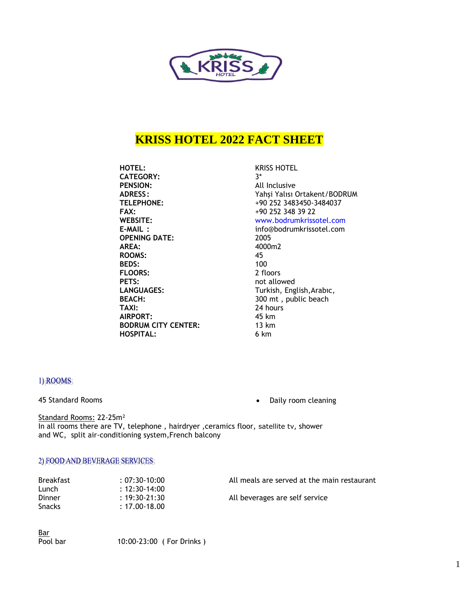

# **KRISS HOTEL 2022 FACT SHEET**

**HOTEL:** KRISS HOTEL **CATEGORY:** 3\* **PENSION:** All Inclusive **FAX:** +90 252 348 39 22 **OPENING DATE:** 2005 **AREA:** 4000m2 **ROOMS:** 45 **BEDS:** 100<br>**FLOORS:** 2 floors **FLOORS: PETS:** not allowed **TAXI:** 24 hours **AIRPORT:** 45 km<br> **BODRUM CITY CENTER:** 13 km **BODRUM CITY CENTER: HOSPITAL:** 6 km

**ADRESS :** Yahşi Yalısı Ortakent/BODRUM **TELEPHONE:** +90 252 3483450-3484037 **WEBSITE:** www.bodrumkrissotel.com **E-MAIL :** info@bodrumkrissotel.com LANGUAGES: Turkish, English, Arabıc, **BEACH:** 300 mt, public beach

#### 1) ROOMS

45 Standard Rooms • Daily room cleaning

Standard Rooms: 22-25m² In all rooms there are TV, telephone, hairdryer, ceramics floor, satellite tv, shower and WC, split air-conditioning system,French balcony

#### 2) FOOD AND BEVERAGE SERVICES;

| <b>Breakfast</b> | $: 07:30-10:00$   | All meals are served at the main restaurant |
|------------------|-------------------|---------------------------------------------|
| Lunch            | $: 12:30-14:00$   |                                             |
| Dinner           | $: 19:30 - 21:30$ | All beverages are self service              |
| <b>Snacks</b>    | $: 17.00 - 18.00$ |                                             |

Bar

Pool bar 10:00-23:00 ( For Drinks )